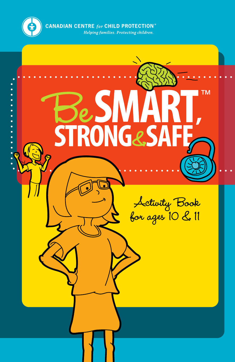

**CANADIAN CENTRE** for CHILD PROTECTION<sup>®</sup>

Helping families. Protecting children.

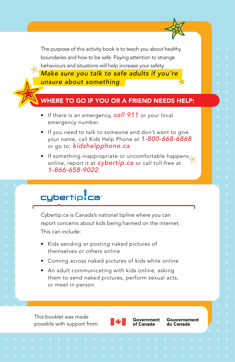The purpose of this activity book is to teach you about healthy boundaries and how to be safe. Paying attention to strange behaviours and situations will help increase your safety.

*Make sure you talk to safe adults if you're unsure about something*.

### WHERE TO GO IF YOU OR A FRIEND NEEDS HELP:

- If there is an emergency, *call 911* or your local emergency number.
- If you need to talk to someone and don't want to give your name, call Kids Help Phone at *1-800-668-6868*  or go to: *kidshelpphone.ca*.
- If something inappropriate or uncomfortable happens online, report it at *cybertip.ca* or call toll-free at *1-866-658-9022*.

# cybertip:ca<sup>®</sup>

Cybertip.ca is Canada's national tipline where you can report concerns about kids being harmed on the internet. This can include:

- Kids sending or posting naked pictures of themselves or others online
- Coming across naked pictures of kids while online
- An adult communicating with kids online, asking them to send naked pictures, perform sexual acts, or meet in person

This booklet was made possible with support from:



Government of Canada

Gouvernement du Canada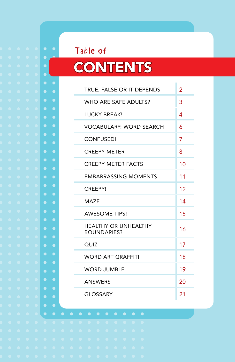# $\overline{\phantom{0}}$

### Table of

# **CONTENTS**

| TRUE, FALSE OR IT DEPENDS                         | 2  |
|---------------------------------------------------|----|
| WHO ARE SAFE ADULTS?                              | 3  |
| <b>I UCKY BREAK!</b>                              | 4  |
| <b>VOCABULARY: WORD SEARCH</b>                    | 6  |
| <b>CONFUSED!</b>                                  | 7  |
| <b>CREEPY METER</b>                               | 8  |
| <b>CREEPY METER FACTS</b>                         | 10 |
| <b>EMBARRASSING MOMENTS</b>                       | 11 |
| <b>CREEPY!</b>                                    | 12 |
| MA7F                                              | 14 |
| <b>AWESOME TIPS!</b>                              | 15 |
| <b>HEALTHY OR UNHEALTHY</b><br><b>BOUNDARIES?</b> | 16 |
| QUIZ                                              | 17 |
| <b>WORD ART GRAFFITI</b>                          | 18 |
| <b>WORD JUMBLE</b>                                | 19 |
| <b>ANSWERS</b>                                    | 20 |
| <b>GLOSSARY</b>                                   | 21 |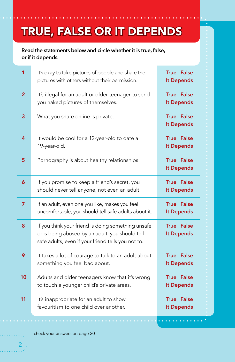# TRUE, FALSE OR IT DEPENDS

### **Read the statements below and circle whether it is true, false, or if it depends.**

| 1              | It's okay to take pictures of people and share the<br>pictures with others without their permission.                                                        | <b>True False</b><br><b>It Depends</b> |  |  |  |  |  |
|----------------|-------------------------------------------------------------------------------------------------------------------------------------------------------------|----------------------------------------|--|--|--|--|--|
| $\overline{2}$ | It's illegal for an adult or older teenager to send<br>you naked pictures of themselves.                                                                    | <b>True False</b><br><b>It Depends</b> |  |  |  |  |  |
| 3              | What you share online is private.                                                                                                                           | <b>True False</b><br>It Depends        |  |  |  |  |  |
| 4              | <b>True False</b><br>It would be cool for a 12-year-old to date a<br>19-year-old.<br><b>It Depends</b>                                                      |                                        |  |  |  |  |  |
| 5              | Pornography is about healthy relationships.                                                                                                                 | <b>True False</b><br>It Depends        |  |  |  |  |  |
| 6              | If you promise to keep a friend's secret, you<br>should never tell anyone, not even an adult.                                                               | <b>True False</b><br><b>It Depends</b> |  |  |  |  |  |
| 7              | If an adult, even one you like, makes you feel<br>uncomfortable, you should tell safe adults about it.                                                      | <b>True False</b><br>It Depends        |  |  |  |  |  |
| 8              | If you think your friend is doing something unsafe<br>or is being abused by an adult, you should tell<br>safe adults, even if your friend tells you not to. | <b>True False</b><br>It Depends        |  |  |  |  |  |
| 9              | It takes a lot of courage to talk to an adult about<br>something you feel bad about.                                                                        | <b>True False</b><br>It Depends        |  |  |  |  |  |
| 10             | Adults and older teenagers know that it's wrong<br>to touch a younger child's private areas.                                                                | <b>True False</b><br><b>It Depends</b> |  |  |  |  |  |
| 11             | It's inappropriate for an adult to show<br>favouritism to one child over another.                                                                           | <b>True False</b><br><b>It Depends</b> |  |  |  |  |  |

check your answers on page 20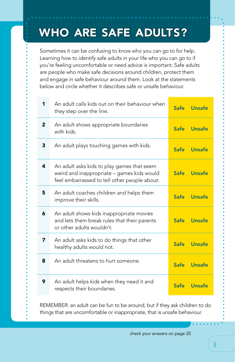# WHO ARE SAFE ADULTS?

Sometimes it can be confusing to know who you can go to for help. Learning how to identify safe adults in your life who you can go to if you're feeling uncomfortable or need advice is important. Safe adults are people who make safe decisions around children, protect them and engage in safe behaviour around them. Look at the statements below and circle whether it describes safe or unsafe behaviour.

| 1            | An adult calls kids out on their behaviour when<br>they step over the line.                                                              | Safe | Unsafe        |
|--------------|------------------------------------------------------------------------------------------------------------------------------------------|------|---------------|
| $\mathbf{2}$ | An adult shows appropriate boundaries<br>with kids.                                                                                      | Safe | <b>Unsafe</b> |
| 3            | An adult plays touching games with kids.                                                                                                 | Safe | <b>Unsafe</b> |
| 4            | An adult asks kids to play games that seem<br>weird and inappropriate - games kids would<br>feel embarrassed to tell other people about. | Safe | Unsafe        |
| 5            | An adult coaches children and helps them<br>improve their skills.                                                                        | Safe | Unsafe        |
| 6            | An adult shows kids inappropriate movies<br>and lets them break rules that their parents<br>or other adults wouldn't.                    | Safe | Unsafe        |
| 7            | An adult asks kids to do things that other<br>healthy adults would not.                                                                  | Safe | <b>Unsafe</b> |
| 8            | An adult threatens to hurt someone.                                                                                                      | Safe | Unsafe        |
| 9            | An adult helps kids when they need it and<br>respects their boundaries.                                                                  | Safe | Unsafe        |

REMEMBER: an adult can be fun to be around, but if they ask children to do things that are uncomfortable or inappropriate, that is unsafe behaviour.

check your answers on page 20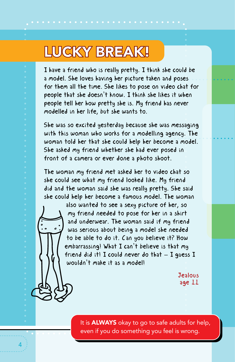# **LUCKY BREAK!**

I have a friend who is really pretty. I think she could be a model. She loves having her picture taken and poses for them all the time. She likes to pose on video chat for people that she doesn't know. I think she likes it when people tell her how pretty she is. My friend has never modelled in her life, but she wants to.

She was so excited yesterday because she was messaging with this woman who works for a modelling agency. The woman told her that she could help her become a model. She asked my friend whether she had ever posed in front of a camera or ever done a photo shoot.

The woman my friend met asked her to video chat so she could see what my friend looked like. My friend did and the woman said she was really pretty. She said she could help her become a famous model. The woman



4

also wanted to see a sexy picture of her, so my friend needed to pose for her in a shirt and underwear. The woman said if my friend was serious about being a model she needed to be able to do it. Can you believe it? How embarrassing! What I can't believe is that my friend did it! I could never do that  $-$  I guess I wouldn't make it as a model!

> **Jealous** age 11

It is **ALWAYS** okay to go to safe adults for help, even if you do something you feel is wrong.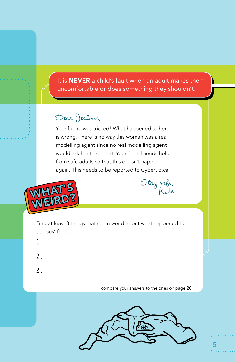It is **NEVER** a child's fault when an adult makes them uncomfortable or does something they shouldn't.

### Dear Jealous,

Your friend was tricked! What happened to her is wrong. There is no way this woman was a real modelling agent since no real modelling agent would ask her to do that. Your friend needs help from safe adults so that this doesn't happen again. This needs to be reported to Cybertip.ca.



Stay safe,<br>Kate

Find at least 3 things that seem weird about what happened to Jealous' friend:

| ◡ |  |
|---|--|

compare your answers to the ones on page 20

5

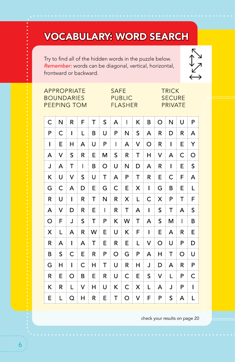# VOCABULARY: WORD SEARCH

Try to find all of the hidden words in the puzzle below. *Remember:* words can be diagonal, vertical, horizontal, frontward or backward.



|             | <b>APPROPRIATE</b><br>SAFE<br><b>BOUNDARIES</b><br><b>PUBLIC</b><br><b>PEEPING TOM</b><br><b>FLASHER</b> |   |             |   |   |             |   | <b>TRICK</b><br><b>SECURE</b><br><b>PRIVATE</b> |   |         |   |              |   |
|-------------|----------------------------------------------------------------------------------------------------------|---|-------------|---|---|-------------|---|-------------------------------------------------|---|---------|---|--------------|---|
| C           | N                                                                                                        | R | F           | т | S | A           |   | K                                               | B | O       | N | U            | P |
| P           | C                                                                                                        | Ι | L           | B | U | P           | N | S                                               | A | R       | D | R            | А |
| $\mathbf I$ | Е                                                                                                        | н | A           | U | P | $\mathbf l$ | А | v                                               | O | R       | I | E            | Y |
| А           | v                                                                                                        | S | R           | Е | M | S           | R | Т                                               | Н | V       | A | $\mathsf{C}$ | O |
| J           | А                                                                                                        | т | $\mathbf l$ | B | O | U           | N | D                                               | A | R       | I | Е            | S |
| K           | U                                                                                                        | v | S           | U | T | A           | P | T                                               | R | E       | C | F            | A |
| G           | С                                                                                                        | А | D           | Е | G | C           | E | Χ                                               | I | G       | B | Ε            | L |
| R           | U                                                                                                        | Ι | R           | Т | N | R           | X | L                                               | C | X       | Ρ | т            | F |
| А           | ٧                                                                                                        | D | R           | Е | I | R           | Τ | А                                               | I | S       | т | A            | S |
| O           | F                                                                                                        | J | S           | Т | P | Κ           | w | Т                                               | A | $\sf S$ | М | I            | B |
| х           | L                                                                                                        | A | R           | w | E | U           | Κ | F                                               | I | E       | A | R            | E |
| R           | А                                                                                                        | I | A           | Т | Ε | R           | Е | L                                               | ٧ | O       | U | P            | D |
| в           | S                                                                                                        | C | E           | R | P | O           | G | P                                               | A | н       | Т | O            | U |
| G           | Н                                                                                                        | I | C           | н | Т | U           | R | н                                               | J | D       | A | R            | P |
| R           | E                                                                                                        | O | В           | Е | R | U           | C | E                                               | S | V       | L | P            | C |
| κ           | R                                                                                                        | L | ٧           | н | U | Κ           | C | Χ                                               | L | A       | J | P            | I |
| Е           | L                                                                                                        | Q | Н           | R | E | Τ           | O | ٧                                               | F | P       | S | A            | L |

6

check your results on page 20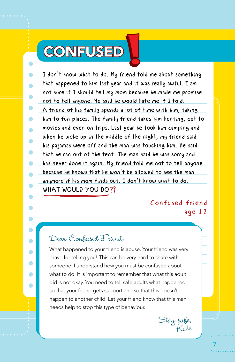# **CONFUSED**

O

Ο

I don't know what to do. My friend told me about something that happened to him last year and it was really awful. I am not sure if I should tell my mom because he made me promise not to tell anyone. He said he would hate me if I told. A friend of his family spends a lot of time with him, taking him to fun places. The family friend takes him hunting, out to movies and even on trips. Last year he took him camping and when he woke up in the middle of the night, my friend said his pajamas were off and the man was touching him. He said that he ran out of the tent. The man said he was sorry and has never done it again. My friend told me not to tell anyone because he knows that he won't be allowed to see the man anymore if his mom finds out. I don't know what to do. WHAT WOULD YOU DO??

### Confused friend age 12

Dear Confused Friend,

What happened to your friend is abuse. Your friend was very brave for telling you! This can be very hard to share with someone. I understand how you must be confused about what to do. It is important to remember that what this adult did is not okay. You need to tell safe adults what happened so that your friend gets support and so that this doesn't happen to another child. Let your friend know that this man needs help to stop this type of behaviour.

Stay safe, Kate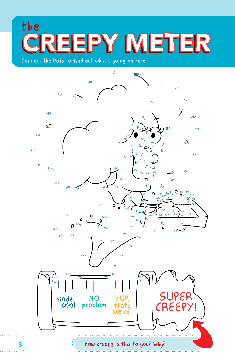# the Y METER

Connect the Dots to find out what's going on here.

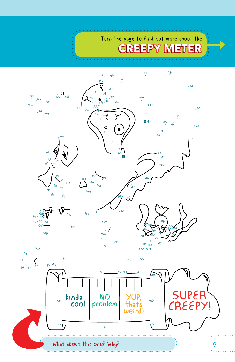

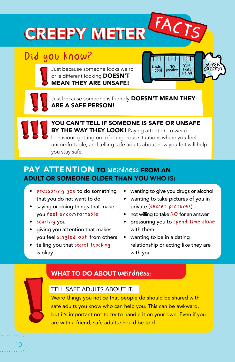# **CREEPY METER**

# Did you know?





FA

Just because someone is friendly **DOESN'T MEAN THEY** ARE A SAFE PERSON!

YOU CAN'T TELL IF SOMEONE IS SAFE OR UNSAFE BY THE WAY THEY LOOK! Paying attention to weird behaviour, getting out of dangerous situations where you feel uncomfortable, and telling safe adults about how you felt will help you stay safe.

### PAY ATTENTION TO Weirdness FROM AN ADULT OR SOMEONE OLDER THAN YOU WHO IS:

- pressuring you to do something that you do not want to do
- saying or doing things that make you feel uncomfortable
- scaring you
- giving you attention that makes you feel singled out from others
- telling you that secret touching is okay
- wanting to give you drugs or alcohol
- wanting to take pictures of you in private (secret pictures)
- not willing to take NO for an answer
- pressuring you to spend time alone with them
- wanting to be in a dating relationship or acting like they are with you

### WHAT TO DO ABOUT weirdness:

### TELL SAFE ADULTS ABOUT IT.

Weird things you notice that people do should be shared with safe adults you know who can help you. This can be awkward, but it's important not to try to handle it on your own. Even if you are with a friend, safe adults should be told.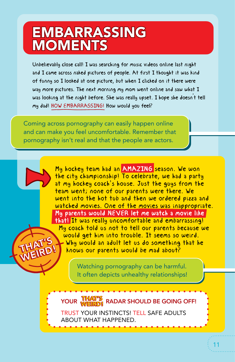# **EMBARRASSING MOMENTS**

Unbelievably close call! I was searching for music videos online last night and I came across naked pictures of people. At first I thought it was kind of funny so I looked at one picture, but when I clicked on it there were way more pictures. The next morning my mom went online and saw what I was looking at the night before. She was really upset. I hope she doesn' t tell my dad! HOW EMBARRASSING! How would you feel?

Coming across pornography can easily happen online and can make you feel uncomfortable. Remember that pornography isn't real and that the people are actors.

THAT'S THAL DI

My hockey team had an AMAZING season. We won the city championship! To celebrate, we had a party at my hockey coach's house. Just the guys from the team went; none of our parents were there. We went into the hot tub and then we ordered pizza and watched movies. One of the movies was inappropriate. My parents would NEVER let me watch a movie like that! It was really uncomfortable and embarrassing! My coach told us not to tell our parents because we would get him into trouble. It seems so weird. Why would an adult let us do something that he knows our parents would be mad about?

> Watching pornography can be harmful. It often depicts unhealthy relationships!

TRUST YOUR INSTINCTS! TELL SAFE ADULTS ABOUT WHAT HAPPENED. YOUR **WARDER RADAR SHOULD BE GOING OFF!**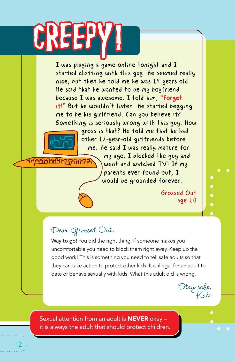I was playing a game online tonight and I started chatting with this guy. He seemed really nice, but then he told me he was 19 years old. He said that he wanted to be my boyfriend because I was awesome. I told him, "Forget it!" But he wouldn't listen. He started begging me to be his girlfriend. Can you believe it? Something is seriously wrong with this guy. How



gross is that? He told me that he had other 12-year-old girlfriends before me. He said I was really mature for my age. I blocked the guy and

> went and watched TV! If my parents ever found out, I would be grounded forever.

> > Grossed Out age 10

 $\bullet$ 

### Dear Grossed Out,

**תרהרה** 

Way to go! You did the right thing. If someone makes you uncomfortable you need to block them right away. Keep up the good work! This is something you need to tell safe adults so that they can take action to protect other kids. It is illegal for an adult to date or behave sexually with kids. What this adult did is wrong.

Stay safe, Kate

Sexual attention from an adult is **NEVER** okay it is always the adult that should protect children.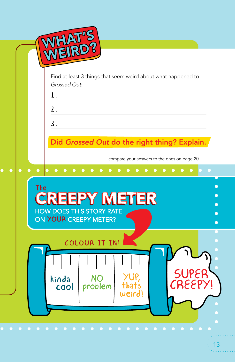|           | <b>LIA</b>                                                                                                                                         |  |
|-----------|----------------------------------------------------------------------------------------------------------------------------------------------------|--|
|           |                                                                                                                                                    |  |
|           | Find at least 3 things that seem weird about what happened to<br>Grossed Out:<br>1.                                                                |  |
|           | 2.                                                                                                                                                 |  |
|           | 3.                                                                                                                                                 |  |
|           | Did Grossed Out do the right thing? Explain.                                                                                                       |  |
| $\bullet$ | compare your answers to the ones on page 20<br>$\bullet\quad\bullet\quad\bullet\quad\bullet$<br>$\bullet$                                          |  |
| The       | EEPY METER<br><b>HOW DOES THIS STORY RATE</b><br>ON YOUR CREEPY METER?<br>COLOUR IT IN!<br>kinda<br>that's<br>weird!<br>CREEPY!<br>problem<br>cool |  |
|           |                                                                                                                                                    |  |
|           | 13                                                                                                                                                 |  |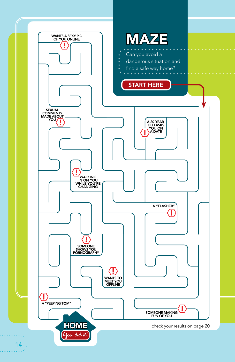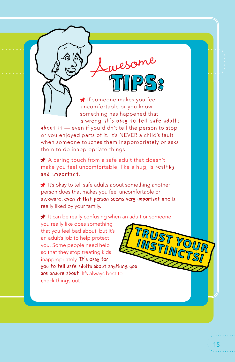

 $\bigstar$  If someone makes you feel uncomfortable or you know something has happened that is wrong, it's okay to tell safe adults

about it  $-$  even if you didn't tell the person to stop or you enjoyed parts of it. It's NEVER a child's fault when someone touches them inappropriately or asks them to do inappropriate things.

**★** A caring touch from a safe adult that doesn't make you feel uncomfortable, like a hug, is healthy and important.

 $\bigstar$  It's okay to tell safe adults about something another person does that makes you feel uncomfortable or awkward, even if that person seems very important and is really liked by your family.

 $\bigstar$  It can be really confusing when an adult or someone

you really like does something that you feel bad about, but it's an adult's job to help protect you. Some people need help so that they stop treating kids inappropriately. It's okay for you to tell safe adults about anything you are unsure about. It's always best to check things out .

TRUST YOUR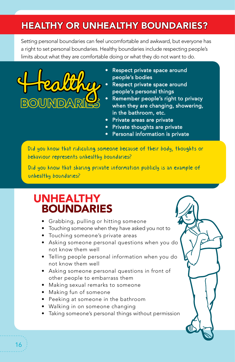# HEALTHY OR UNHEALTHY BOUNDARIES?

Setting personal boundaries can feel uncomfortable and awkward, but everyone has a right to set personal boundaries. Healthy boundaries include respecting people's limits about what they are comfortable doing or what they do not want to do.



- Respect private space around people's bodies
- Respect private space around people's personal things
- Remember people's right to privacy when they are changing, showering, in the bathroom, etc.
- Private areas are private
- Private thoughts are private
- Personal information is private

Did you know that ridiculing someone because of their body, thoughts or behaviour represents unhealthy boundaries?

Did you know that sharing private information publicly is an example of unhealthy boundaries?

## **UNHEALTHY BOUNDARIES**

- Grabbing, pulling or hitting someone
- Touching someone when they have asked you not to
- Touching someone's private areas
- Asking someone personal questions when you do not know them well
- Telling people personal information when you do not know them well
- Asking someone personal questions in front of other people to embarrass them
- Making sexual remarks to someone
- Making fun of someone
- Peeking at someone in the bathroom
- Walking in on someone changing
- Taking someone's personal things without permission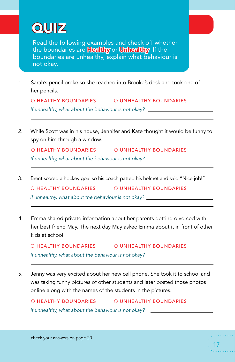

Read the following examples and check off whether the boundaries are **Healthy** or **Unhealthy**. If the boundaries are unhealthy, explain what behaviour is not okay.

1. Sarah's pencil broke so she reached into Brooke's desk and took one of her pencils.

O HEALTHY BOUNDARIES O UNHEALTHY BOUNDARIES *If unhealthy, what about the behaviour is not okay?*

2. While Scott was in his house, Jennifer and Kate thought it would be funny to spy on him through a window.

O HEALTHY BOUNDARIES O UNHEALTHY BOUNDARIES *If unhealthy, what about the behaviour is not okay?*

3. Brent scored a hockey goal so his coach patted his helmet and said "Nice job!"

O HEALTHY BOUNDARIES O UNHEALTHY BOUNDARIES

*If unhealthy, what about the behaviour is not okay?*

4. Emma shared private information about her parents getting divorced with her best friend May. The next day May asked Emma about it in front of other kids at school.

O HEALTHY BOUNDARIES O UNHEALTHY BOUNDARIES *If unhealthy, what about the behaviour is not okay?*

5. Jenny was very excited about her new cell phone. She took it to school and was taking funny pictures of other students and later posted those photos online along with the names of the students in the pictures.

O HEALTHY BOUNDARIES O UNHEALTHY BOUNDARIES *If unhealthy, what about the behaviour is not okay?*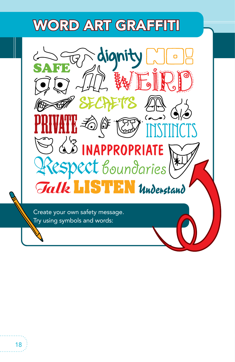# **WORD ART GRAFFITI**



Try using symbols and words: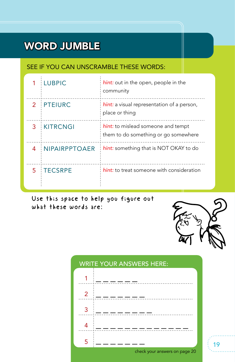# WORD JUMBLE

### SEE IF YOU CAN UNSCRAMBLE THESE WORDS:

|   | LUBPIC          | hint: out in the open, people in the<br>community                          |
|---|-----------------|----------------------------------------------------------------------------|
|   | 2 PTEIURC       | hint: a visual representation of a person,<br>place or thing               |
|   | 3 KITRCNGI      | hint: to mislead someone and tempt<br>them to do something or go somewhere |
| 4 | : NIPAIRPPTOAER | hint: something that is NOT OKAY to do                                     |
|   | 5 TECSRPE       | hint: to treat someone with consideration                                  |

Use this space to help you figure out what these words are:



19

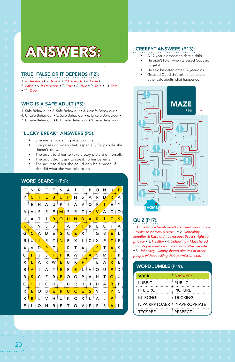### $\bigwedge$ NSWERS:

### TRUE, FALSE OR IT DEPENDS (P2):

1. *It Depends* • 2. *True* • 3. *It Depends* • 4. *False* • 5. *False* • 6. *It Depends* • 7. *True* • 8. *True* • 9. *True* • 10. *True* • 11. *True*

### WHO IS A SAFE ADULT (P3):

1. Safe Behaviour • 2. Safe Behaviour • 3. Unsafe Behaviour • 4. Unsafe Behaviour • 5. Safe Behaviour • 6. Unsafe Behaviour • 7. Unsafe Behaviour • 8. Unsafe Behaviour • 9. Safe Behaviour

### "LUCKY BREAK" ANSWERS (P5):

- She met a modelling agent online.
- She poses on video chat, especially for people she doesn't know.
- The adult told her to take a sexy picture of herself.
- The adult didn't ask to speak to her parents.
- The adult told her she could only be a model if she did what she was told to do.

### **WORD SEARCH (P6):**

| C | N | R | F      | т | s | А | I | Κ  | В | O  | N | U | P |
|---|---|---|--------|---|---|---|---|----|---|----|---|---|---|
| Ρ | c | ı | L      | B | U | P | N | S  | A | R  | D | R | Ά |
| ı | E | н | А      | U | P | ı | А | ٧  | O | R  | Π | Έ | Y |
| A | ٧ | S | R      | E | м | s | R | т  | Н | ۷  | Ά | С | O |
| J | A | Т | I      | B | o | U | N | D  | A | R  | ı | E | s |
| ĸ | U | ٧ | S      | U | т | А | P | т  | R | Е  | C | F | A |
| G | с | A | D      | E | G | С | E | χ  | T | G  | B | E | Г |
| R | Ú | Π | R      | T | N | R | х | L  | Ċ | X  | P | т | F |
| А | ٧ | D | R      | E | Т | R | т | А  | L | s  | т | A | S |
| O | F | J | \$     | т | P | Κ | W | т. | А | s. | М | Т | B |
| х | L | A | R      | W | E | U | κ | F  | Ί | Е  | А | R | E |
| R | А | ı | A      | Т | E | R | E | L  | ٧ | O  | U | P | D |
| B | s | C | E      | R | P | O | G | P  | A | н  | T | O | U |
| G | н | Ι | C      | н | Т | U | R | н  | J | D  | А | R | Ρ |
| R | Е | O | B<br>G | E | R | U | c | E  | s | ٧  | L | P | C |
| κ | R | Г | ٧      | н | U | Κ | C | x  | Г | A  | J | P | T |
| Ε |   | Q | н      | R | E | Τ | O | ٧  | F | Ρ  | s | А |   |

### "CREEPY" ANSWERS (P13):

- A 19-year-old wants to date a child.
- He didn't listen when Grossed Out said forget it.
- He said he dated other 12-year-olds.
- Grossed Out didn't tell her parents or other safe adults what happened.



### QUIZ (P17):

1. *Unhealthy – Sarah didn't get permission from Brooke to borrow a pencil.* • 2. *Unhealthy – Jennifer & Kate did not respect Scott's right to privacy* • 3. *Healthy* • 4. *Unhealthy – May shared Emma's personal information with other people* • 5. *Unhealthy – Jenny shared pictures of other*  people without asking their permission first.

### **WORD JUMBLE (P19):**

| WORD:                         | ANSWER:        |
|-------------------------------|----------------|
| <b>LUBPIC</b>                 | : PUBLIC       |
| <b>PTEIURC</b>                | : PICTURE      |
| <b>KITRCNGI</b>               | : TRICKING     |
| NIPAIRPPTOAER : INAPPROPRIATE |                |
| <b>TECSRPE</b>                | <b>RESPECT</b> |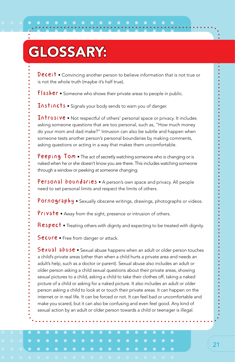# **GLOSSARY:**

**Deceit** • Convincing another person to believe information that is not true or is not the whole truth (maybe it's half true).

**Flasher** • Someone who shows their private areas to people in public.

Instincts • Signals your body sends to warn you of danger.

Intrusive • Not respectful of others' personal space or privacy. It includes asking someone questions that are too personal, such as, "How much money do your mom and dad make?" Intrusion can also be subtle and happen when someone tests another person's personal boundaries by making comments, asking questions or acting in a way that makes them uncomfortable.

**Peeping Tom •** The act of secretly watching someone who is changing or is naked when he or she doesn't know you are there. This includes watching someone through a window or peeking at someone changing.

Personal boundaries • A person's own space and privacy. All people need to set personal limits and respect the limits of others.

Pornography • Sexually obscene writings, drawings, photographs or videos.

Private • Away from the sight, presence or intrusion of others.

 $\texttt{Respect} \bullet$  Treating others with dignity and expecting to be treated with dignity.

Secure • Free from danger or attack.

 $S$ exual abuse • Sexual abuse happens when an adult or older person touches a child's private areas (other than when a child hurts a private area and needs an adult's help, such as a doctor or parent). Sexual abuse also includes an adult or older person asking a child sexual questions about their private areas, showing sexual pictures to a child, asking a child to take their clothes off, taking a naked picture of a child or asking for a naked picture. It also includes an adult or older person asking a child to look at or touch their private areas. It can happen on the internet or in real life. It can be forced or not. It can feel bad or uncomfortable and make you scared, but it can also be confusing and even feel good. Any kind of sexual action by an adult or older person towards a child or teenager is illegal.